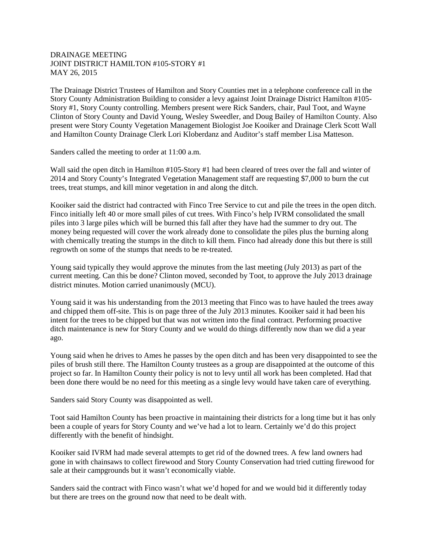## DRAINAGE MEETING JOINT DISTRICT HAMILTON #105-STORY #1 MAY 26, 2015

The Drainage District Trustees of Hamilton and Story Counties met in a telephone conference call in the Story County Administration Building to consider a levy against Joint Drainage District Hamilton #105- Story #1, Story County controlling. Members present were Rick Sanders, chair, Paul Toot, and Wayne Clinton of Story County and David Young, Wesley Sweedler, and Doug Bailey of Hamilton County. Also present were Story County Vegetation Management Biologist Joe Kooiker and Drainage Clerk Scott Wall and Hamilton County Drainage Clerk Lori Kloberdanz and Auditor's staff member Lisa Matteson.

Sanders called the meeting to order at 11:00 a.m.

Wall said the open ditch in Hamilton #105-Story #1 had been cleared of trees over the fall and winter of 2014 and Story County's Integrated Vegetation Management staff are requesting \$7,000 to burn the cut trees, treat stumps, and kill minor vegetation in and along the ditch.

Kooiker said the district had contracted with Finco Tree Service to cut and pile the trees in the open ditch. Finco initially left 40 or more small piles of cut trees. With Finco's help IVRM consolidated the small piles into 3 large piles which will be burned this fall after they have had the summer to dry out. The money being requested will cover the work already done to consolidate the piles plus the burning along with chemically treating the stumps in the ditch to kill them. Finco had already done this but there is still regrowth on some of the stumps that needs to be re-treated.

Young said typically they would approve the minutes from the last meeting (July 2013) as part of the current meeting. Can this be done? Clinton moved, seconded by Toot, to approve the July 2013 drainage district minutes. Motion carried unanimously (MCU).

Young said it was his understanding from the 2013 meeting that Finco was to have hauled the trees away and chipped them off-site. This is on page three of the July 2013 minutes. Kooiker said it had been his intent for the trees to be chipped but that was not written into the final contract. Performing proactive ditch maintenance is new for Story County and we would do things differently now than we did a year ago.

Young said when he drives to Ames he passes by the open ditch and has been very disappointed to see the piles of brush still there. The Hamilton County trustees as a group are disappointed at the outcome of this project so far. In Hamilton County their policy is not to levy until all work has been completed. Had that been done there would be no need for this meeting as a single levy would have taken care of everything.

Sanders said Story County was disappointed as well.

Toot said Hamilton County has been proactive in maintaining their districts for a long time but it has only been a couple of years for Story County and we've had a lot to learn. Certainly we'd do this project differently with the benefit of hindsight.

Kooiker said IVRM had made several attempts to get rid of the downed trees. A few land owners had gone in with chainsaws to collect firewood and Story County Conservation had tried cutting firewood for sale at their campgrounds but it wasn't economically viable.

Sanders said the contract with Finco wasn't what we'd hoped for and we would bid it differently today but there are trees on the ground now that need to be dealt with.